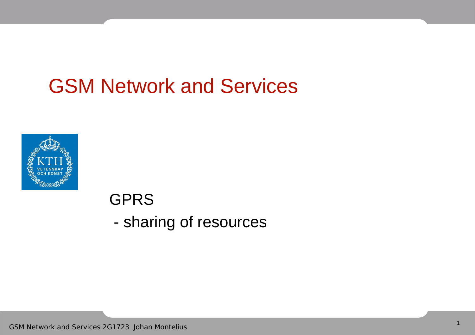### GSM Network and Services



#### GPRS - sharing of resources

GSM Network and Services 2G1723 Johan Montelius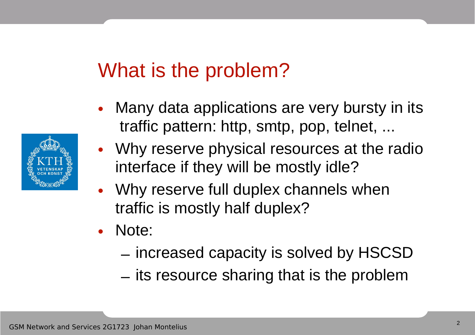### What is the problem?

- Many data applications are very bursty in its traffic pattern: http, smtp, pop, telnet, ...
- Why reserve physical resources at the radio interface if they will be mostly idle?
- Why reserve full duplex channels when traffic is mostly half duplex?
- Note:
	- increased capacity is solved by HSCSD
	- its resource sharing that is the problem

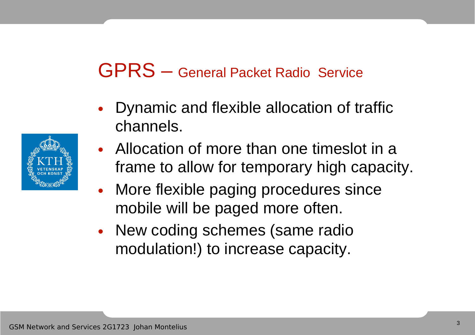#### GPRS – General Packet Radio Service

- Dynamic and flexible allocation of traffic channels.
- Allocation of more than one timeslot in a frame to allow for temporary high capacity.
- More flexible paging procedures since mobile will be paged more often.
- New coding schemes (same radio modulation!) to increase capacity.

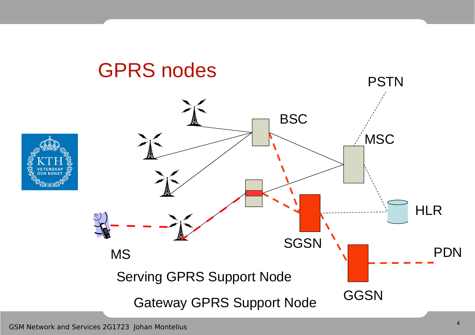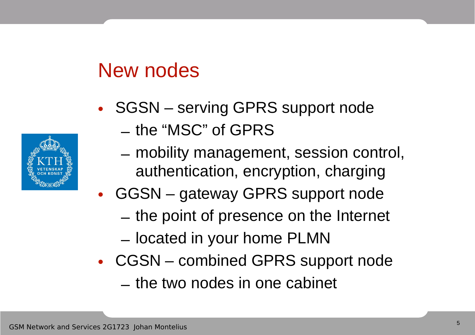### New nodes



- SGSN serving GPRS support node
	- the "MSC" of GPRS
	- mobility management, session control, authentication, encryption, charging
- GGSN gateway GPRS support node
	- the point of presence on the Internet
	- located in your home PLMN
- CGSN combined GPRS support node
	- the two nodes in one cabinet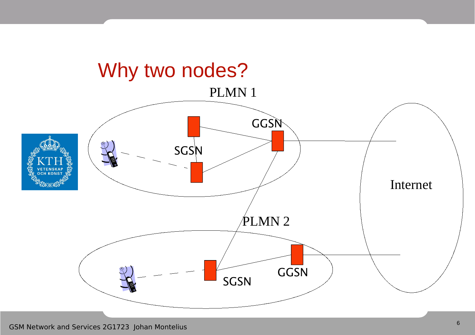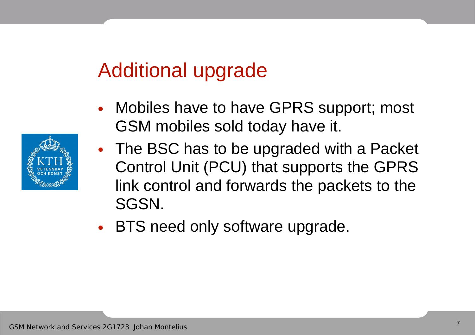### Additional upgrade

- Mobiles have to have GPRS support; most GSM mobiles sold today have it.
- The BSC has to be upgraded with a Packet Control Unit (PCU) that supports the GPRS link control and forwards the packets to the SGSN.
- BTS need only software upgrade.

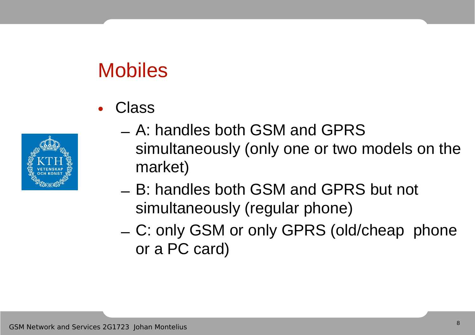## Mobiles

• Class



- A: handles both GSM and GPRS simultaneously (only one or two models on the market)
- B: handles both GSM and GPRS but not simultaneously (regular phone)
- C: only GSM or only GPRS (old/cheap phone or a PC card)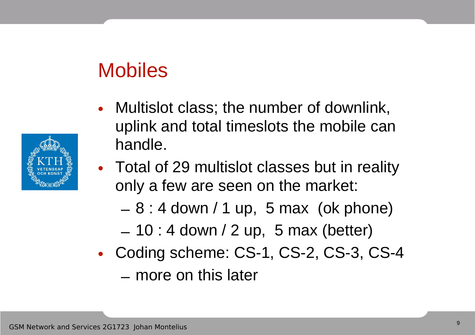### Mobiles

- Multislot class; the number of downlink, uplink and total timeslots the mobile can handle.
- Total of 29 multislot classes but in reality only a few are seen on the market:
	- $-8:4$  down / 1 up, 5 max (ok phone)
	- $-10$  : 4 down / 2 up, 5 max (better)
- Coding scheme: CS-1, CS-2, CS-3, CS-4
	- more on this later

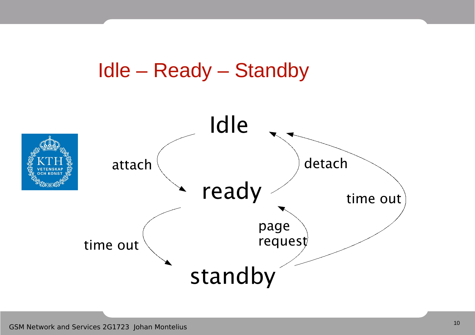#### Idle – Ready – Standby

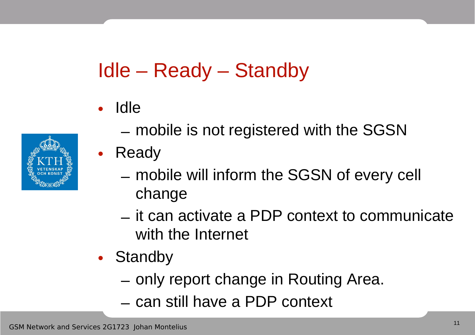## Idle – Ready – Standby

• Idle

- mobile is not registered with the SGSN
- Ready
	- mobile will inform the SGSN of every cell change
	- it can activate a PDP context to communicate with the Internet
- Standby
	- only report change in Routing Area.
	- can still have a PDP context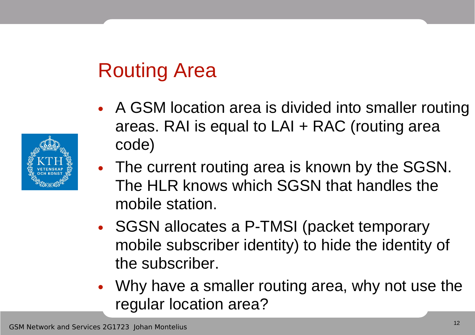# Routing Area

- A GSM location area is divided into smaller routing areas. RAI is equal to LAI + RAC (routing area code)
- The current routing area is known by the SGSN. The HLR knows which SGSN that handles the mobile station.
- SGSN allocates a P-TMSI (packet temporary mobile subscriber identity) to hide the identity of the subscriber.
- Why have a smaller routing area, why not use the regular location area?

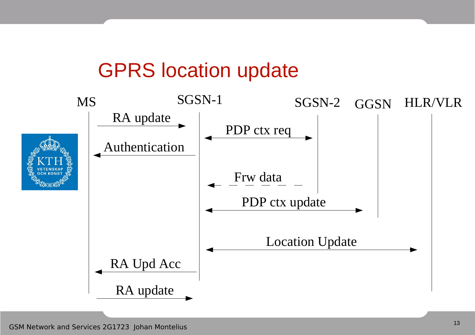### GPRS location update

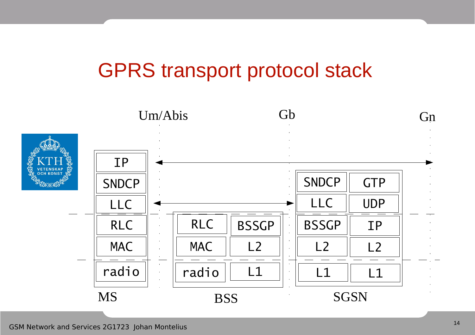### GPRS transport protocol stack

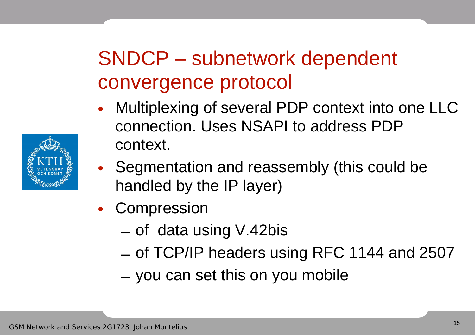## SNDCP – subnetwork dependent convergence protocol

- Multiplexing of several PDP context into one LLC connection. Uses NSAPI to address PDP context.
- Segmentation and reassembly (this could be handled by the IP layer)
- Compression
	- of data using V.42bis
	- of TCP/IP headers using RFC 1144 and 2507
	- you can set this on you mobile

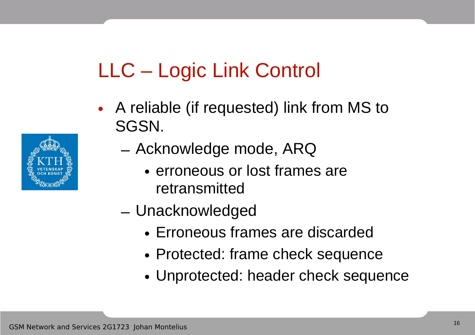# LLC – Logic Link Control

• A reliable (if requested) link from MS to SGSN.



- Acknowledge mode, ARQ
	- erroneous or lost frames are retransmitted
- Unacknowledged
	- Erroneous frames are discarded
	- Protected: frame check sequence
	- Unprotected: header check sequence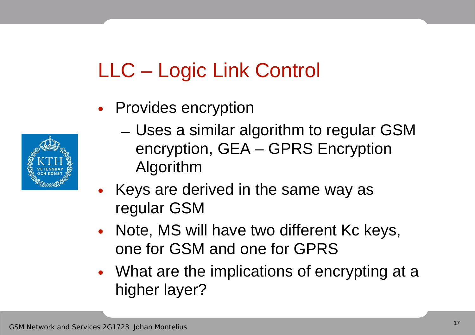# LLC – Logic Link Control

• Provides encryption



- Uses a similar algorithm to regular GSM encryption, GEA – GPRS Encryption Algorithm
- Keys are derived in the same way as regular GSM
- Note, MS will have two different Kc keys, one for GSM and one for GPRS
- What are the implications of encrypting at a higher layer?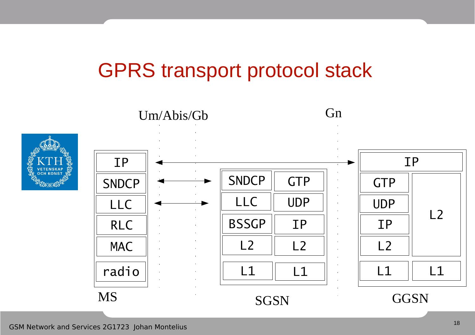### GPRS transport protocol stack

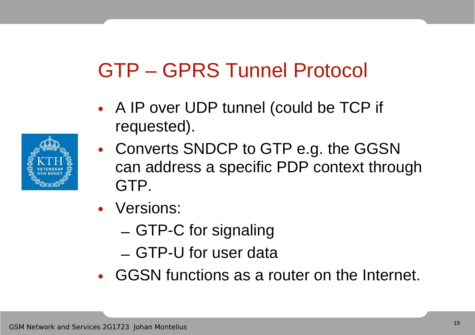## GTP – GPRS Tunnel Protocol

- A IP over UDP tunnel (could be TCP if requested).
- Converts SNDCP to GTP e.g. the GGSN can address a specific PDP context through GTP.
- Versions:
	- GTP-C for signaling
	- GTP-U for user data
- GGSN functions as a router on the Internet.

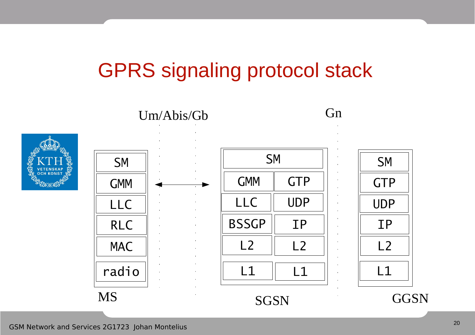## GPRS signaling protocol stack





GSM Network and Services 2G1723 Johan Montelius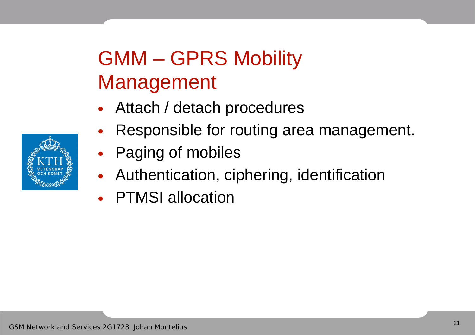# GMM – GPRS Mobility Management

- Attach / detach procedures
- Responsible for routing area management.
- Paging of mobiles
- Authentication, ciphering, identification
- PTMSI allocation

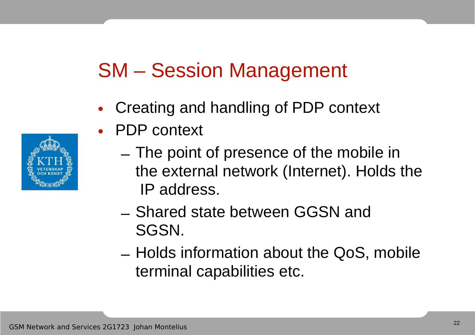### SM – Session Management

• Creating and handling of PDP context



- PDP context
	- The point of presence of the mobile in the external network (Internet). Holds the IP address.
	- Shared state between GGSN and SGSN.
	- Holds information about the QoS, mobile terminal capabilities etc.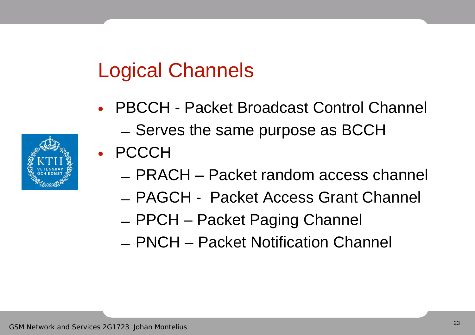## Logical Channels

- PBCCH Packet Broadcast Control Channel – Serves the same purpose as BCCH
- PCCCH
	- PRACH Packet random access channel
	- PAGCH Packet Access Grant Channel
	- PPCH Packet Paging Channel
	- PNCH Packet Notification Channel